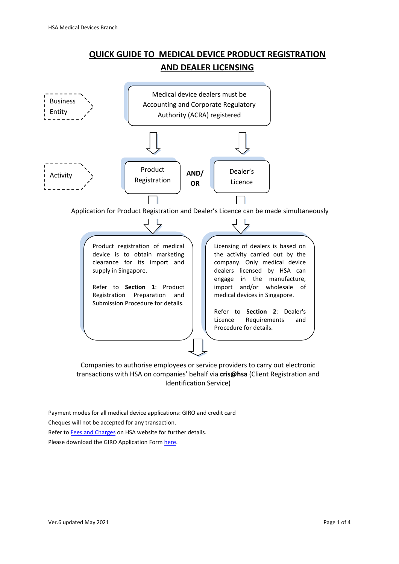## **QUICK GUIDE TO MEDICAL DEVICE PRODUCT REGISTRATION AND DEALER LICENSING**



Identification Service)

Payment modes for all medical device applications: GIRO and credit card Cheques will not be accepted for any transaction. Refer t[o Fees and Charges](http://www.hsa.gov.sg/medical-devices/fees) on HSA website for further details. Please download the GIRO Application Form [here.](http://www.hsa.gov.sg/medical-devices/fees)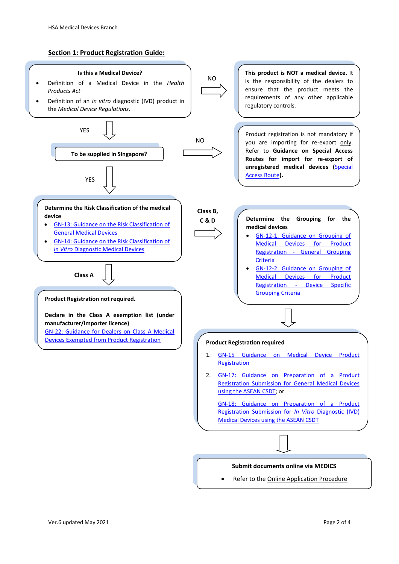## **Section 1: Product Registration Guide:**

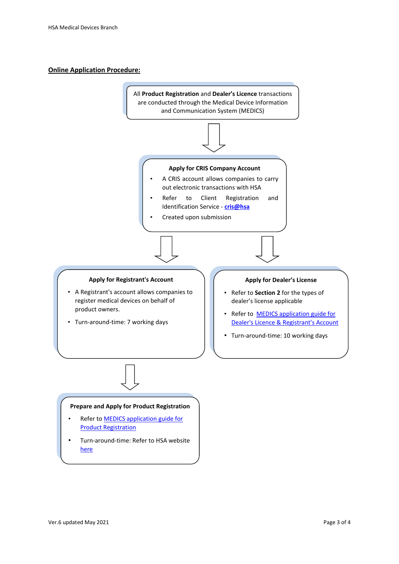## **Online Application Procedure:**